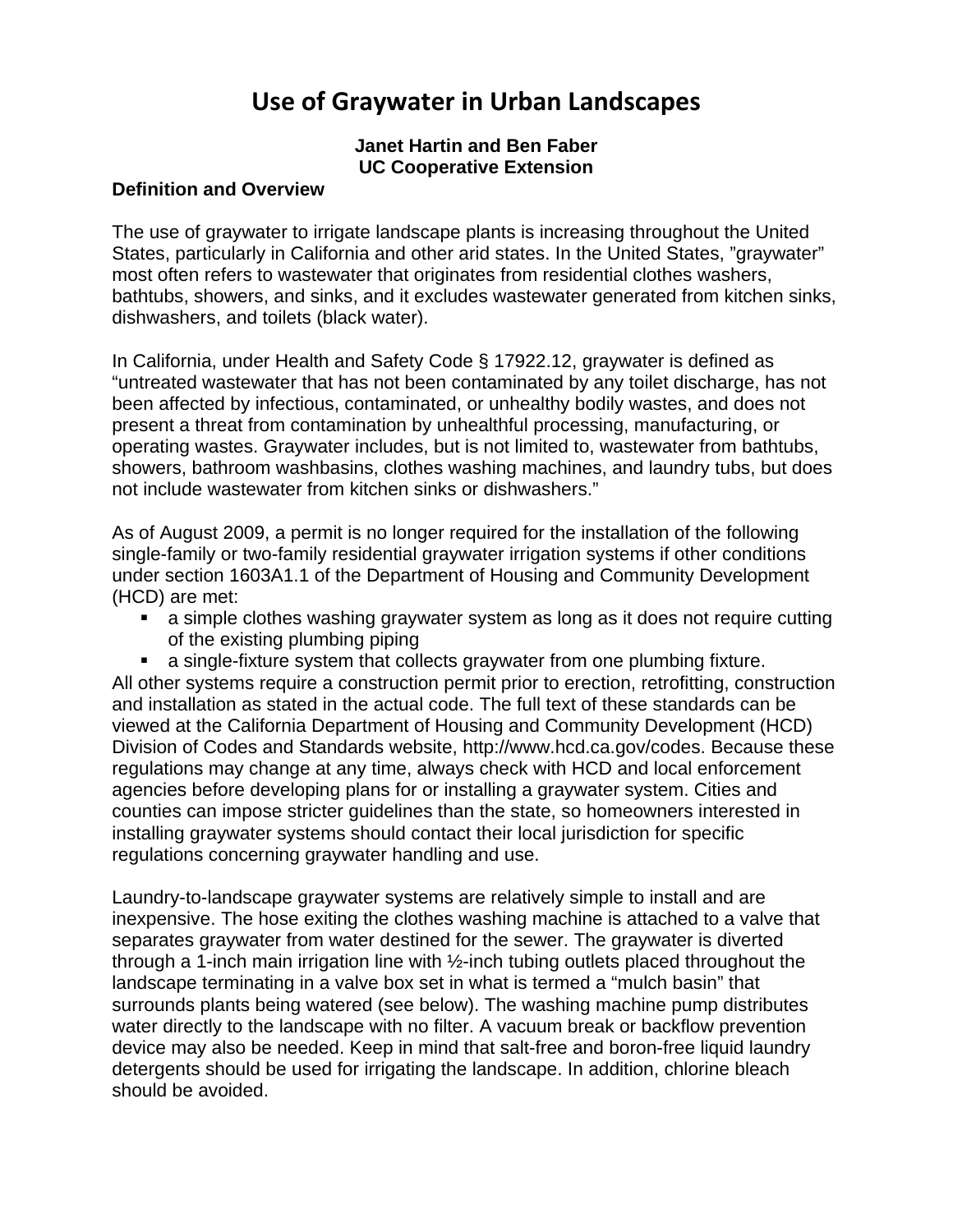# **Use of Graywater in Urban Landscapes**

### **Janet Hartin and Ben Faber UC Cooperative Extension**

#### **Definition and Overview**

The use of graywater to irrigate landscape plants is increasing throughout the United States, particularly in California and other arid states. In the United States, "graywater" most often refers to wastewater that originates from residential clothes washers, bathtubs, showers, and sinks, and it excludes wastewater generated from kitchen sinks, dishwashers, and toilets (black water).

In California, under Health and Safety Code § 17922.12, graywater is defined as "untreated wastewater that has not been contaminated by any toilet discharge, has not been affected by infectious, contaminated, or unhealthy bodily wastes, and does not present a threat from contamination by unhealthful processing, manufacturing, or operating wastes. Graywater includes, but is not limited to, wastewater from bathtubs, showers, bathroom washbasins, clothes washing machines, and laundry tubs, but does not include wastewater from kitchen sinks or dishwashers."

As of August 2009, a permit is no longer required for the installation of the following single-family or two-family residential graywater irrigation systems if other conditions under section 1603A1.1 of the Department of Housing and Community Development (HCD) are met:

- a simple clothes washing graywater system as long as it does not require cutting of the existing plumbing piping
- a single-fixture system that collects graywater from one plumbing fixture.

All other systems require a construction permit prior to erection, retrofitting, construction and installation as stated in the actual code. The full text of these standards can be viewed at the California Department of Housing and Community Development (HCD) Division of Codes and Standards website, http://www.hcd.ca.gov/codes. Because these regulations may change at any time, always check with HCD and local enforcement agencies before developing plans for or installing a graywater system. Cities and counties can impose stricter guidelines than the state, so homeowners interested in installing graywater systems should contact their local jurisdiction for specific regulations concerning graywater handling and use.

Laundry-to-landscape graywater systems are relatively simple to install and are inexpensive. The hose exiting the clothes washing machine is attached to a valve that separates graywater from water destined for the sewer. The graywater is diverted through a 1-inch main irrigation line with ½-inch tubing outlets placed throughout the landscape terminating in a valve box set in what is termed a "mulch basin" that surrounds plants being watered (see below). The washing machine pump distributes water directly to the landscape with no filter. A vacuum break or backflow prevention device may also be needed. Keep in mind that salt-free and boron-free liquid laundry detergents should be used for irrigating the landscape. In addition, chlorine bleach should be avoided.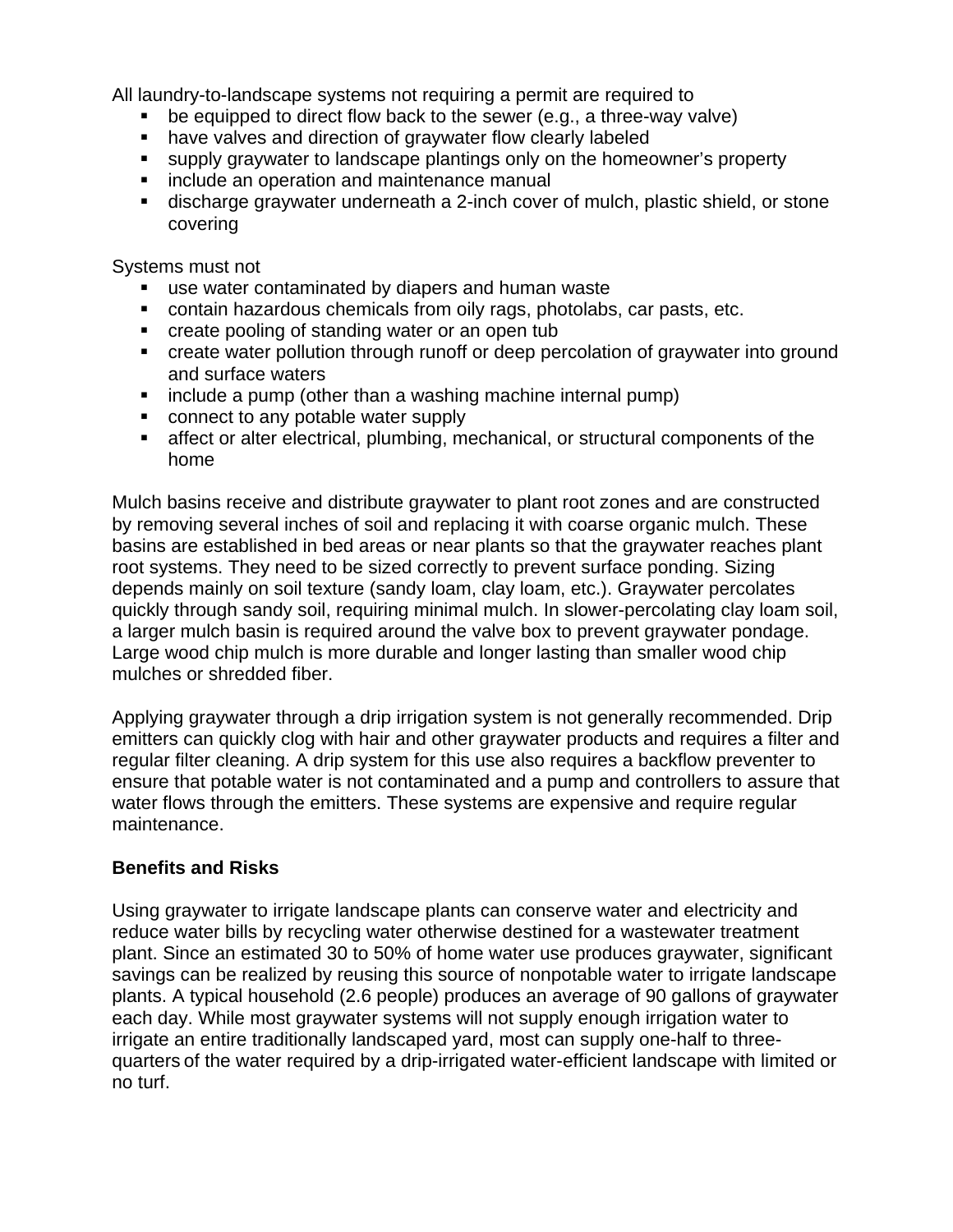All laundry-to-landscape systems not requiring a permit are required to

- $\blacksquare$  be equipped to direct flow back to the sewer (e.g., a three-way valve)
- have valves and direction of graywater flow clearly labeled
- supply graywater to landscape plantings only on the homeowner's property
- **EXTERN** include an operation and maintenance manual
- discharge graywater underneath a 2-inch cover of mulch, plastic shield, or stone covering

Systems must not

- use water contaminated by diapers and human waste
- contain hazardous chemicals from oily rags, photolabs, car pasts, etc.
- create pooling of standing water or an open tub
- create water pollution through runoff or deep percolation of graywater into ground and surface waters
- **i** include a pump (other than a washing machine internal pump)
- connect to any potable water supply
- affect or alter electrical, plumbing, mechanical, or structural components of the home

Mulch basins receive and distribute graywater to plant root zones and are constructed by removing several inches of soil and replacing it with coarse organic mulch. These basins are established in bed areas or near plants so that the graywater reaches plant root systems. They need to be sized correctly to prevent surface ponding. Sizing depends mainly on soil texture (sandy loam, clay loam, etc.). Graywater percolates quickly through sandy soil, requiring minimal mulch. In slower-percolating clay loam soil, a larger mulch basin is required around the valve box to prevent graywater pondage. Large wood chip mulch is more durable and longer lasting than smaller wood chip mulches or shredded fiber.

Applying graywater through a drip irrigation system is not generally recommended. Drip emitters can quickly clog with hair and other graywater products and requires a filter and regular filter cleaning. A drip system for this use also requires a backflow preventer to ensure that potable water is not contaminated and a pump and controllers to assure that water flows through the emitters. These systems are expensive and require regular maintenance.

## **Benefits and Risks**

Using graywater to irrigate landscape plants can conserve water and electricity and reduce water bills by recycling water otherwise destined for a wastewater treatment plant. Since an estimated 30 to 50% of home water use produces graywater, significant savings can be realized by reusing this source of nonpotable water to irrigate landscape plants. A typical household (2.6 people) produces an average of 90 gallons of graywater each day. While most graywater systems will not supply enough irrigation water to irrigate an entire traditionally landscaped yard, most can supply one-half to threequarters of the water required by a drip-irrigated water-efficient landscape with limited or no turf.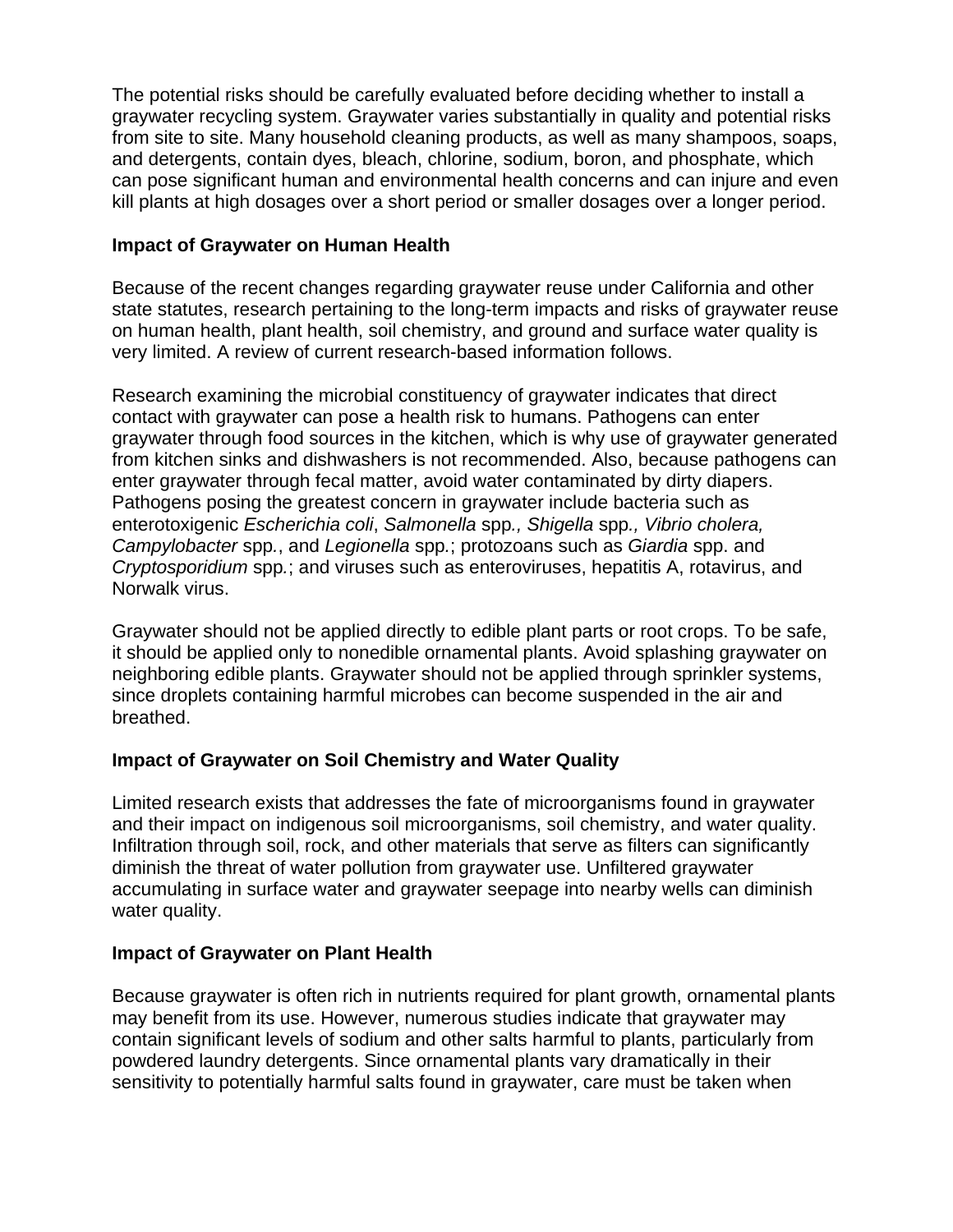The potential risks should be carefully evaluated before deciding whether to install a graywater recycling system. Graywater varies substantially in quality and potential risks from site to site. Many household cleaning products, as well as many shampoos, soaps, and detergents, contain dyes, bleach, chlorine, sodium, boron, and phosphate, which can pose significant human and environmental health concerns and can injure and even kill plants at high dosages over a short period or smaller dosages over a longer period.

### **Impact of Graywater on Human Health**

Because of the recent changes regarding graywater reuse under California and other state statutes, research pertaining to the long-term impacts and risks of graywater reuse on human health, plant health, soil chemistry, and ground and surface water quality is very limited. A review of current research-based information follows.

Research examining the microbial constituency of graywater indicates that direct contact with graywater can pose a health risk to humans. Pathogens can enter graywater through food sources in the kitchen, which is why use of graywater generated from kitchen sinks and dishwashers is not recommended. Also, because pathogens can enter graywater through fecal matter, avoid water contaminated by dirty diapers. Pathogens posing the greatest concern in graywater include bacteria such as enterotoxigenic *Escherichia coli*, *Salmonella* spp*., Shigella* spp*., Vibrio cholera, Campylobacter* spp*.*, and *Legionella* spp*.*; protozoans such as *Giardia* spp. and *Cryptosporidium* spp*.*; and viruses such as enteroviruses, hepatitis A, rotavirus, and Norwalk virus.

Graywater should not be applied directly to edible plant parts or root crops. To be safe, it should be applied only to nonedible ornamental plants. Avoid splashing graywater on neighboring edible plants. Graywater should not be applied through sprinkler systems, since droplets containing harmful microbes can become suspended in the air and breathed.

## **Impact of Graywater on Soil Chemistry and Water Quality**

Limited research exists that addresses the fate of microorganisms found in graywater and their impact on indigenous soil microorganisms, soil chemistry, and water quality. Infiltration through soil, rock, and other materials that serve as filters can significantly diminish the threat of water pollution from graywater use. Unfiltered graywater accumulating in surface water and graywater seepage into nearby wells can diminish water quality.

#### **Impact of Graywater on Plant Health**

Because graywater is often rich in nutrients required for plant growth, ornamental plants may benefit from its use. However, numerous studies indicate that graywater may contain significant levels of sodium and other salts harmful to plants, particularly from powdered laundry detergents. Since ornamental plants vary dramatically in their sensitivity to potentially harmful salts found in graywater, care must be taken when